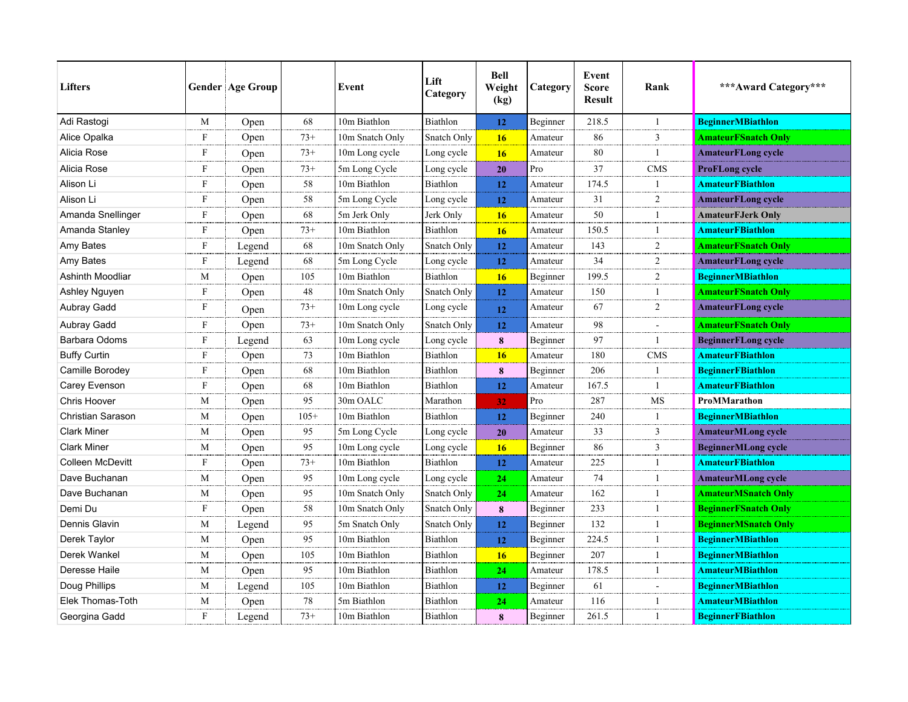| <b>Lifters</b>      |              | <b>Gender Age Group</b> |        | Event           | Lift<br>Category | <b>Bell</b><br>Weight<br>(kg) | Category | Event<br><b>Score</b><br><b>Result</b> | Rank           | *** Award Category***       |
|---------------------|--------------|-------------------------|--------|-----------------|------------------|-------------------------------|----------|----------------------------------------|----------------|-----------------------------|
| Adi Rastogi         | M            | Open                    | 68     | 10m Biathlon    | Biathlon         | 12                            | Beginner | 218.5                                  | -1             | <b>BeginnerMBiathlon</b>    |
| Alice Opalka        | F            | Open                    | $73+$  | 10m Snatch Only | Snatch Only      | 16                            | Amateur  | 86                                     | 3              | <b>AmateurFSnatch Only</b>  |
| Alicia Rose         | F            | Open                    | $73+$  | 10m Long cycle  | Long cycle       | 16                            | Amateur  | 80                                     | -1             | <b>AmateurFLong cycle</b>   |
| Alicia Rose         | $\mathbf{F}$ | Open                    | $73+$  | 5m Long Cycle   | Long cycle       | 20                            | Pro      | 37                                     | <b>CMS</b>     | ProFLong cycle              |
| Alison Li           | F            | Open                    | 58     | 10m Biathlon    | Biathlon         | 12                            | Amateur  | 174.5                                  | -1             | <b>AmateurFBiathlon</b>     |
| Alison Li           | F            | Open                    | 58     | 5m Long Cycle   | Long cycle       | 12                            | Amateur  | 31                                     | 2              | <b>AmateurFLong cycle</b>   |
| Amanda Snellinger   | F            | Open                    | 68     | 5m Jerk Only    | Jerk Only        | 16                            | Amateur  | 50                                     | $\mathbf{1}$   | <b>AmateurFJerk Only</b>    |
| Amanda Stanley      | F            | Open                    | $73+$  | 10m Biathlon    | Biathlon         | 16                            | Amateur  | 150.5                                  | -1             | <b>AmateurFBiathlon</b>     |
| Amy Bates           | $\mathbf{F}$ | Legend                  | 68     | 10m Snatch Only | Snatch Only      | 12                            | Amateur  | 143                                    | 2              | <b>AmateurFSnatch Only</b>  |
| Amy Bates           | F            | Legend                  | 68     | 5m Long Cycle   | Long cycle       | 12                            | Amateur  | 34                                     | 2              | <b>AmateurFLong cycle</b>   |
| Ashinth Moodliar    | M            | Open                    | 105    | 10m Biathlon    | Biathlon         | 16                            | Beginner | 199.5                                  | 2              | <b>BeginnerMBiathlon</b>    |
| Ashley Nguyen       | F            | Open                    | 48     | 10m Snatch Only | Snatch Only      | 12                            | Amateur  | 150                                    | $\overline{1}$ | <b>AmateurFSnatch Only</b>  |
| <b>Aubray Gadd</b>  | F            | Open                    | $73+$  | 10m Long cycle  | Long cycle       | 12                            | Amateur  | 67                                     | 2              | <b>AmateurFLong cycle</b>   |
| Aubray Gadd         | F            | Open                    | $73+$  | 10m Snatch Only | Snatch Only      | 12                            | Amateur  | 98                                     |                | <b>AmateurFSnatch Only</b>  |
| Barbara Odoms       | F            | Legend                  | 63     | 10m Long cycle  | Long cycle       | 8                             | Beginner | 97                                     | -1             | <b>BeginnerFLong cycle</b>  |
| <b>Buffy Curtin</b> | F            | Open                    | 73     | 10m Biathlon    | Biathlon         | <b>16</b>                     | Amateur  | 180                                    | CMS            | <b>AmateurFBiathlon</b>     |
| Camille Borodey     | F            | Open                    | 68     | 10m Biathlon    | Biathlon         | 8                             | Beginner | 206                                    | -1             | <b>BeginnerFBiathlon</b>    |
| Carey Evenson       | F            | Open                    | 68     | 10m Biathlon    | Biathlon         | 12                            | Amateur  | 167.5                                  | -1             | <b>AmateurFBiathlon</b>     |
| <b>Chris Hoover</b> | M            | Open                    | 95     | 30m OALC        | Marathon         | 32 <sub>1</sub>               | Pro      | 287                                    | MS             | ProMMarathon                |
| Christian Sarason   | M            | Open                    | $105+$ | 10m Biathlon    | Biathlon         | 12                            | Beginner | 240                                    | -1             | <b>BeginnerMBiathlon</b>    |
| <b>Clark Miner</b>  | М            | Open                    | 95     | 5m Long Cycle   | Long cycle       | 20                            | Amateur  | 33                                     | 3              | <b>AmateurMLong cycle</b>   |
| <b>Clark Miner</b>  | М            | Open                    | 95     | 10m Long cycle  | Long cycle       | 16                            | Beginner | 86                                     | 3              | <b>BeginnerMLong cycle</b>  |
| Colleen McDevitt    | F            | Open                    | $73+$  | 10m Biathlon    | Biathlon         | 12                            | Amateur  | 225                                    | 1              | <b>AmateurFBiathlon</b>     |
| Dave Buchanan       | М            | Open                    | 95     | 10m Long cycle  | Long cycle       | 24                            | Amateur  | 74                                     | -1             | <b>AmateurMLong cycle</b>   |
| Dave Buchanan       | М            | Open                    | 95     | 10m Snatch Only | Snatch Only      | 24                            | Amateur  | 162                                    | -1             | <b>AmateurMSnatch Only</b>  |
| Demi Du             | F            | Open                    | 58     | 10m Snatch Only | Snatch Only      | 8                             | Beginner | 233                                    | $\mathbf{1}$   | <b>BeginnerFSnatch Only</b> |
| Dennis Glavin       | M            | Legend                  | 95     | 5m Snatch Only  | Snatch Only      | 12                            | Beginner | 132                                    | $\mathbf{1}$   | <b>BeginnerMSnatch Only</b> |
| Derek Taylor        | M            | Open                    | 95     | 10m Biathlon    | Biathlon         | 12                            | Beginner | 224.5                                  | -1             | <b>BeginnerMBiathlon</b>    |
| Derek Wankel        | М            | Open                    | 105    | 10m Biathlon    | Biathlon         | 16                            | Beginner | 207                                    | $\overline{1}$ | <b>BeginnerMBiathlon</b>    |
| Deresse Haile       | M            | Open                    | 95     | 10m Biathlon    | Biathlon         | 24                            | Amateur  | 178.5                                  | -1             | <b>AmateurMBiathlon</b>     |
| Doug Phillips       | M            | Legend                  | 105    | 10m Biathlon    | Biathlon         | 12                            | Beginner | 61                                     | $\overline{a}$ | <b>BeginnerMBiathlon</b>    |
| Elek Thomas-Toth    | M            | Open                    | 78     | 5m Biathlon     | Biathlon         | 24                            | Amateur  | 116                                    | $\mathbf{1}$   | <b>AmateurMBiathlon</b>     |
| Georgina Gadd       | F            | Legend                  | $73+$  | 10m Biathlon    | Biathlon         | 8                             | Beginner | 261.5                                  | $\overline{1}$ | <b>BeginnerFBiathlon</b>    |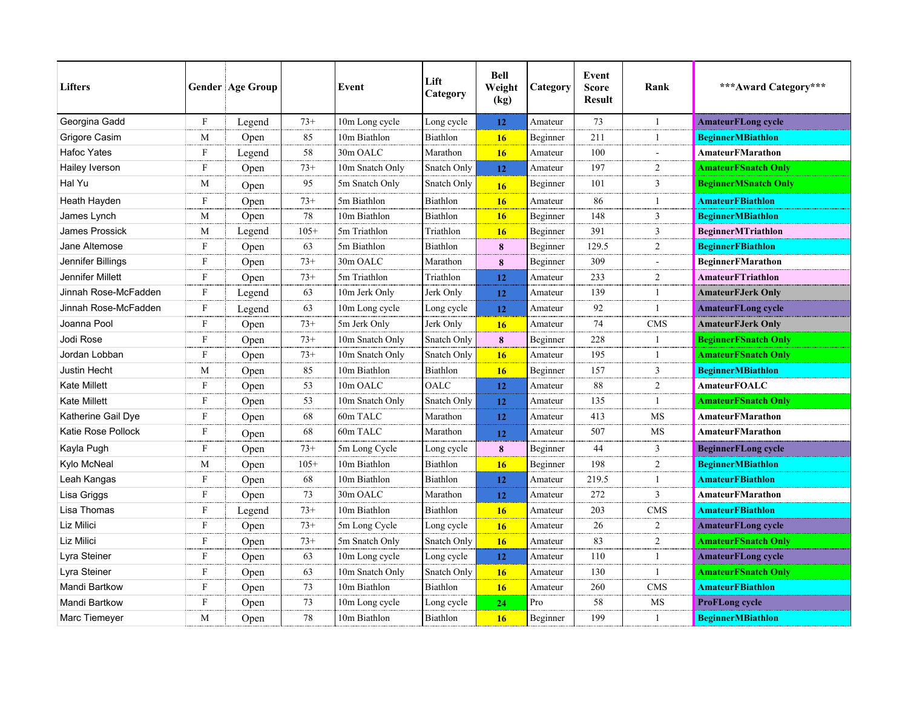| <b>Lifters</b>       |              | <b>Gender Age Group</b> |        | Event           | Lift<br>Category | <b>Bell</b><br>Weight<br>(kg) | Category | Event<br><b>Score</b><br><b>Result</b> | Rank           | *** Award Category***       |
|----------------------|--------------|-------------------------|--------|-----------------|------------------|-------------------------------|----------|----------------------------------------|----------------|-----------------------------|
| Georgina Gadd        | F            | Legend                  | $73+$  | 10m Long cycle  | Long cycle       | 12                            | Amateur  | 73                                     | $\mathbf{1}$   | <b>AmateurFLong cycle</b>   |
| Grigore Casim        | M            | Open                    | 85     | 10m Biathlon    | Biathlon         | <b>16</b>                     | Beginner | 211                                    | $\overline{1}$ | <b>BeginnerMBiathlon</b>    |
| <b>Hafoc Yates</b>   | F            | Legend                  | 58     | 30m OALC        | Marathon         | 16                            | Amateur  | 100                                    | $\blacksquare$ | <b>AmateurFMarathon</b>     |
| Hailey Iverson       | F            | Open                    | $73+$  | 10m Snatch Only | Snatch Only      | 12                            | Amateur  | 197                                    | 2              | <b>AmateurFSnatch Only</b>  |
| Hal Yu               | M            | Open                    | 95     | 5m Snatch Only  | Snatch Only      | 16                            | Beginner | 101                                    | 3              | <b>BeginnerMSnatch Only</b> |
| Heath Hayden         | F            | Open                    | $73+$  | 5m Biathlon     | Biathlon         | 16                            | Amateur  | 86                                     | 1              | <b>AmateurFBiathlon</b>     |
| James Lynch          | M            | Open                    | 78     | 10m Biathlon    | Biathlon         | 16                            | Beginner | 148                                    | 3              | <b>BeginnerMBiathlon</b>    |
| James Prossick       | M            | Legend                  | $105+$ | 5m Triathlon    | Triathlon        | 16                            | Beginner | 391                                    | 3              | <b>BeginnerMTriathlon</b>   |
| Jane Altemose        | F            | Open                    | 63     | 5m Biathlon     | Biathlon         | 8                             | Beginner | 129.5                                  | $\overline{2}$ | <b>BeginnerFBiathlon</b>    |
| Jennifer Billings    | $\mathbf{F}$ | Open                    | $73+$  | 30m OALC        | Marathon         | 8                             | Beginner | 309                                    |                | <b>BeginnerFMarathon</b>    |
| Jennifer Millett     | $\mathbf{F}$ | Open                    | $73+$  | 5m Triathlon    | Triathlon        | 12                            | Amateur  | 233                                    | $\overline{2}$ | <b>AmateurFTriathlon</b>    |
| Jinnah Rose-McFadden | F            | Legend                  | 63     | 10m Jerk Only   | Jerk Only        | 12                            | Amateur  | 139                                    | $\mathbf{1}$   | <b>AmateurFJerk Only</b>    |
| Jinnah Rose-McFadden | F            | Legend                  | 63     | 10m Long cycle  | Long cycle       | 12                            | Amateur  | 92                                     | $\overline{1}$ | <b>AmateurFLong cycle</b>   |
| Joanna Pool          | F            | Open                    | $73+$  | 5m Jerk Only    | Jerk Only        | 16                            | Amateur  | 74                                     | <b>CMS</b>     | <b>AmateurFJerk Only</b>    |
| Jodi Rose            | F            | Open                    | $73+$  | 10m Snatch Only | Snatch Only      | 8                             | Beginner | 228                                    | -1             | <b>BeginnerFSnatch Only</b> |
| Jordan Lobban        | F            | Open                    | $73+$  | 10m Snatch Only | Snatch Only      | 16                            | Amateur  | 195                                    | $\mathbf{1}$   | <b>AmateurFSnatch Only</b>  |
| <b>Justin Hecht</b>  | M            | Open                    | 85     | 10m Biathlon    | Biathlon         | 16                            | Beginner | 157                                    | 3              | <b>BeginnerMBiathlon</b>    |
| <b>Kate Millett</b>  | F            | Open                    | 53     | 10m OALC        | OALC             | 12                            | Amateur  | 88                                     | 2              | <b>AmateurFOALC</b>         |
| <b>Kate Millett</b>  | F            | Open                    | 53     | 10m Snatch Only | Snatch Only      | 12                            | Amateur  | 135                                    | $\mathbf{1}$   | <b>AmateurFSnatch Only</b>  |
| Katherine Gail Dye   | F            | Open                    | 68     | 60m TALC        | Marathon         | 12                            | Amateur  | 413                                    | MS             | AmateurFMarathon            |
| Katie Rose Pollock   | F            | Open                    | 68     | 60m TALC        | Marathon         | 12                            | Amateur  | 507                                    | MS             | AmateurFMarathon            |
| Kayla Pugh           | F            | Open                    | $73+$  | 5m Long Cycle   | Long cycle       | 8                             | Beginner | 44                                     | 3              | <b>BeginnerFLong cycle</b>  |
| Kylo McNeal          | М            | Open                    | $105+$ | 10m Biathlon    | <b>Biathlon</b>  | 16                            | Beginner | 198                                    | $\overline{2}$ | <b>BeginnerMBiathlon</b>    |
| Leah Kangas          | F            | Open                    | 68     | 10m Biathlon    | <b>Biathlon</b>  | 12                            | Amateur  | 219.5                                  | $\mathbf{1}$   | <b>AmateurFBiathlon</b>     |
| Lisa Griggs          | F            | Open                    | 73     | 30m OALC        | Marathon         | 12                            | Amateur  | 272                                    | 3              | AmateurFMarathon            |
| Lisa Thomas          | F            | Legend                  | $73+$  | 10m Biathlon    | Biathlon         | 16                            | Amateur  | 203                                    | <b>CMS</b>     | <b>AmateurFBiathlon</b>     |
| Liz Milici           | F            | Open                    | $73+$  | 5m Long Cycle   | Long cycle       | 16                            | Amateur  | 26                                     | $\overline{c}$ | <b>AmateurFLong cycle</b>   |
| Liz Milici           | F            | Open                    | $73+$  | 5m Snatch Only  | Snatch Only      | 16                            | Amateur  | 83                                     | $\overline{2}$ | <b>AmateurFSnatch Only</b>  |
| Lyra Steiner         | F            | Open                    | 63     | 10m Long cycle  | Long cycle       | 12                            | Amateur  | 110                                    | $\mathbf{1}$   | <b>AmateurFLong cycle</b>   |
| Lyra Steiner         | F            | Open                    | 63     | 10m Snatch Only | Snatch Only      | <b>16</b>                     | Amateur  | 130                                    | $\overline{1}$ | <b>AmateurFSnatch Only</b>  |
| Mandi Bartkow        | F            | Open                    | 73     | 10m Biathlon    | Biathlon         | 16                            | Amateur  | 260                                    | <b>CMS</b>     | <b>AmateurFBiathlon</b>     |
| Mandi Bartkow        | F            | Open                    | 73     | 10m Long cycle  | Long cycle       | 24                            | Pro      | 58                                     | MS             | ProFLong cycle              |
| Marc Tiemeyer        | M            | Open                    | 78     | 10m Biathlon    | Biathlon         | 16                            | Beginner | 199                                    | $\overline{1}$ | <b>BeginnerMBiathlon</b>    |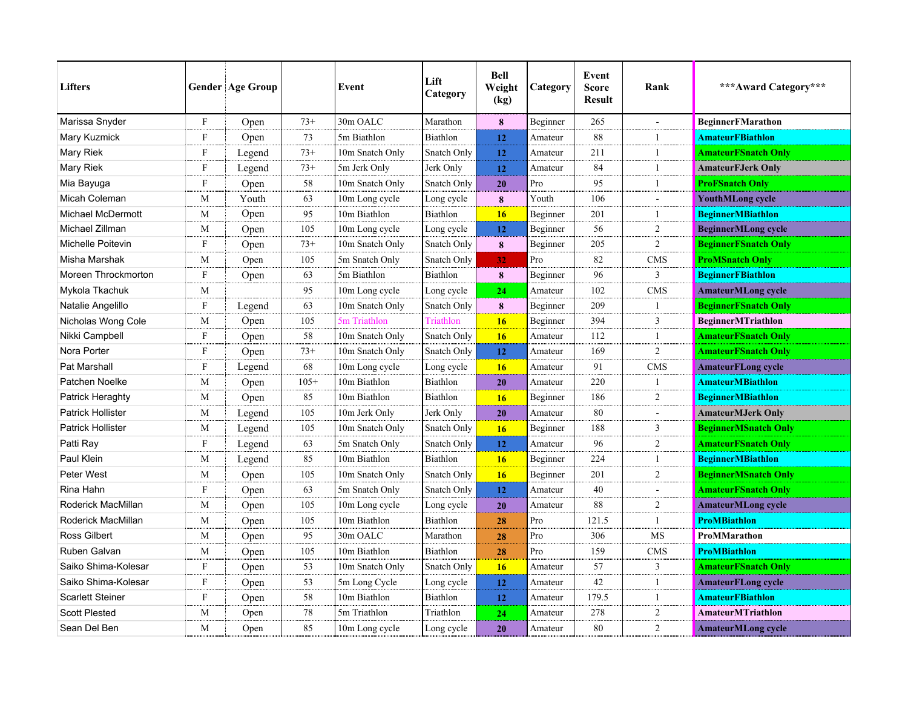| <b>Lifters</b>           |                           | <b>Gender Age Group</b> |        | Event           | Lift<br>Category | <b>Bell</b><br>Weight<br>(kg) | Category | Event<br><b>Score</b><br><b>Result</b> | Rank           | *** Award Category***       |
|--------------------------|---------------------------|-------------------------|--------|-----------------|------------------|-------------------------------|----------|----------------------------------------|----------------|-----------------------------|
| Marissa Snyder           | F                         | Open                    | $73+$  | 30m OALC        | Marathon         | 8                             | Beginner | 265                                    |                | BeginnerFMarathon           |
| Mary Kuzmick             | F                         | Open                    | 73     | 5m Biathlon     | <b>Biathlon</b>  | 12                            | Amateur  | 88                                     | $\mathbf{1}$   | <b>AmateurFBiathlon</b>     |
| Mary Riek                | F                         | Legend                  | $73+$  | 10m Snatch Only | Snatch Only      | 12                            | Amateur  | 211                                    | $\mathbf{1}$   | <b>AmateurFSnatch Only</b>  |
| Mary Riek                | F                         | Legend                  | $73+$  | 5m Jerk Only    | Jerk Only        | 12                            | Amateur  | 84                                     | $\mathbf{1}$   | <b>AmateurFJerk Only</b>    |
| Mia Bayuga               | F                         | Open                    | 58     | 10m Snatch Only | Snatch Only      | 20                            | Pro      | 95                                     | $\mathbf{1}$   | <b>ProFSnatch Only</b>      |
| Micah Coleman            | М                         | Youth                   | 63     | 10m Long cycle  | Long cycle       | 8                             | Youth    | 106                                    | $\overline{a}$ | <b>YouthMLong cycle</b>     |
| <b>Michael McDermott</b> | М                         | Open                    | 95     | 10m Biathlon    | <b>Biathlon</b>  | <b>16</b>                     | Beginner | 201                                    | $\mathbf{1}$   | <b>BeginnerMBiathlon</b>    |
| Michael Zillman          | M                         | Open                    | 105    | 10m Long cycle  | Long cycle       | 12                            | Beginner | 56                                     | $\overline{2}$ | <b>BeginnerMLong cycle</b>  |
| Michelle Poitevin        | F                         | Open                    | $73+$  | 10m Snatch Only | Snatch Only      | 8                             | Beginner | 205                                    | $\overline{2}$ | <b>BeginnerFSnatch Only</b> |
| Misha Marshak            | М                         | Open                    | 105    | 5m Snatch Only  | Snatch Only      | 32                            | Pro      | 82                                     | <b>CMS</b>     | <b>ProMSnatch Only</b>      |
| Moreen Throckmorton      | F                         | Open                    | 63     | 5m Biathlon     | Biathlon         | 8                             | Beginner | 96                                     | 3              | <b>BeginnerFBiathlon</b>    |
| Mykola Tkachuk           | M                         |                         | 95     | 10m Long cycle  | Long cycle       | 24                            | Amateur  | 102                                    | <b>CMS</b>     | <b>AmateurMLong cycle</b>   |
| Natalie Angelillo        | F                         | Legend                  | 63     | 10m Snatch Only | Snatch Only      | 8                             | Beginner | 209                                    | $\mathbf{1}$   | <b>BeginnerFSnatch Only</b> |
| Nicholas Wong Cole       | М                         | Open                    | 105    | 5m Triathlon    | Triathlon        | <b>16</b>                     | Beginner | 394                                    | 3              | <b>BeginnerMTriathlon</b>   |
| Nikki Campbell           | $\mathbf{F}$              | Open                    | 58     | 10m Snatch Only | Snatch Only      | 16                            | Amateur  | 112                                    | $\mathbf{1}$   | <b>AmateurFSnatch Only</b>  |
| Nora Porter              | $\mathbf{F}$              | Open                    | $73+$  | 10m Snatch Only | Snatch Only      | 12                            | Amateur  | 169                                    | $\overline{2}$ | <b>AmateurFSnatch Only</b>  |
| Pat Marshall             | F                         | Legend                  | 68     | 10m Long cycle  | Long cycle       | 16                            | Amateur  | 91                                     | <b>CMS</b>     | <b>AmateurFLong cycle</b>   |
| Patchen Noelke           | M                         | Open                    | $105+$ | 10m Biathlon    | Biathlon         | 20                            | Amateur  | 220                                    | $\mathbf{1}$   | <b>AmateurMBiathlon</b>     |
| Patrick Heraghty         | M                         | Open                    | 85     | 10m Biathlon    | Biathlon         | <b>16</b>                     | Beginner | 186                                    | $\overline{2}$ | <b>BeginnerMBiathlon</b>    |
| <b>Patrick Hollister</b> | M                         | Legend                  | 105    | 10m Jerk Only   | Jerk Only        | 20                            | Amateur  | 80                                     | $\blacksquare$ | <b>AmateurMJerk Only</b>    |
| <b>Patrick Hollister</b> | M                         | Legend                  | 105    | 10m Snatch Only | Snatch Only      | 16                            | Beginner | 188                                    | 3              | <b>BeginnerMSnatch Only</b> |
| Patti Ray                | $\boldsymbol{\mathrm{F}}$ | Legend                  | 63     | 5m Snatch Only  | Snatch Only      | 12                            | Amateur  | 96                                     | $\overline{c}$ | <b>AmateurFSnatch Only</b>  |
| Paul Klein               | M                         | Legend                  | 85     | 10m Biathlon    | Biathlon         | 16                            | Beginner | 224                                    | $\overline{1}$ | <b>BeginnerMBiathlon</b>    |
| Peter West               | M                         | Open                    | 105    | 10m Snatch Only | Snatch Only      | 16                            | Beginner | 201                                    | $\overline{2}$ | <b>BeginnerMSnatch Only</b> |
| Rina Hahn                | F                         | Open                    | 63     | 5m Snatch Only  | Snatch Only      | 12                            | Amateur  | 40                                     | $\blacksquare$ | <b>AmateurFSnatch Only</b>  |
| Roderick MacMillan       | M                         | Open                    | 105    | 10m Long cycle  | Long cycle       | 20                            | Amateur  | 88                                     | $\overline{c}$ | <b>AmateurMLong cycle</b>   |
| Roderick MacMillan       | M                         | Open                    | 105    | 10m Biathlon    | Biathlon         | 28                            | Pro      | 121.5                                  | $\mathbf{1}$   | <b>ProMBiathlon</b>         |
| <b>Ross Gilbert</b>      | M                         | Open                    | 95     | 30m OALC        | Marathon         | 28                            | Pro      | 306                                    | <b>MS</b>      | ProMMarathon                |
| Ruben Galvan             | M                         | Open                    | 105    | 10m Biathlon    | Biathlon         | 28                            | Pro      | 159                                    | <b>CMS</b>     | <b>ProMBiathlon</b>         |
| Saiko Shima-Kolesar      | F                         | Open                    | 53     | 10m Snatch Only | Snatch Only      | 16                            | Amateur  | 57                                     | $\overline{3}$ | <b>AmateurFSnatch Only</b>  |
| Saiko Shima-Kolesar      | F                         | Open                    | 53     | 5m Long Cycle   | Long cycle       | 12                            | Amateur  | 42                                     | $\mathbf{1}$   | <b>AmateurFLong cycle</b>   |
| <b>Scarlett Steiner</b>  | F                         | Open                    | 58     | 10m Biathlon    | Biathlon         | 12                            | Amateur  | 179.5                                  | $\mathbf{1}$   | <b>AmateurFBiathlon</b>     |
| <b>Scott Plested</b>     | M                         | Open                    | 78     | 5m Triathlon    | Triathlon        | 24                            | Amateur  | 278                                    | 2              | AmateurMTriathlon           |
| Sean Del Ben             | M                         | Open                    | 85     | 10m Long cycle  | Long cycle       | 20                            | Amateur  | 80                                     | $\overline{2}$ | <b>AmateurMLong cycle</b>   |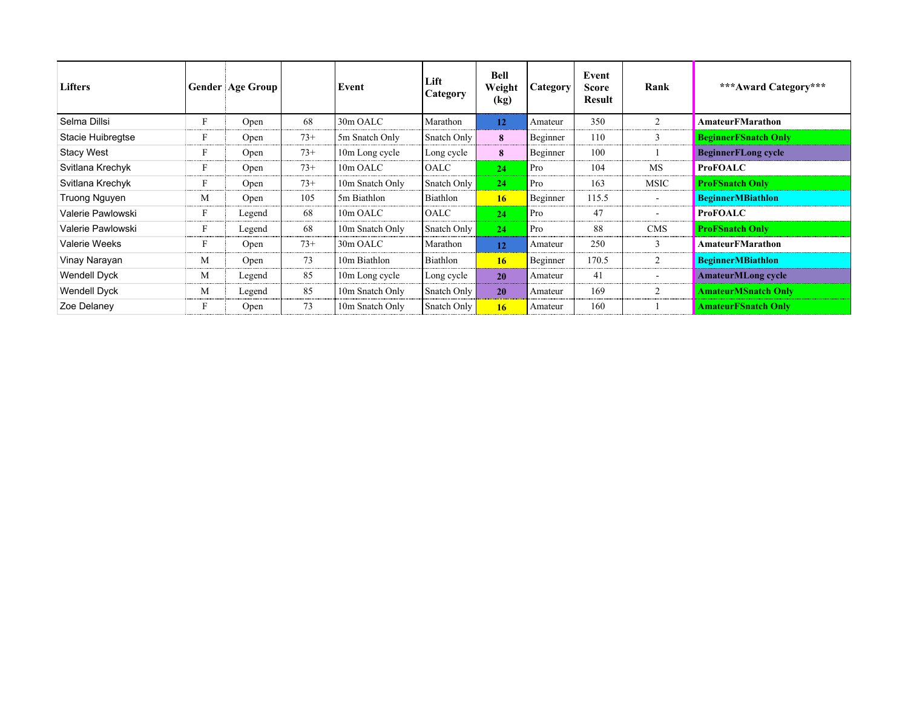| <b>Lifters</b>      |   | <b>Gender Age Group</b> |       | Event           | Lift<br>Category | <b>Bell</b><br>Weight<br>(kg) | Category' | Event<br><b>Score</b><br>Result | Rank                     | ***Award Category***        |
|---------------------|---|-------------------------|-------|-----------------|------------------|-------------------------------|-----------|---------------------------------|--------------------------|-----------------------------|
| Selma Dillsi        | F | Open                    | 68    | 30m OALC        | Marathon         | 12                            | Amateur   | 350                             | 2                        | AmateurFMarathon            |
| Stacie Huibregtse   | F | Open                    | $73+$ | 5m Snatch Only  | Snatch Only      | 8                             | Beginner  | 110                             | 3                        | <b>BeginnerFSnatch Only</b> |
| <b>Stacy West</b>   | F | Open                    | $73+$ | 10m Long cycle  | Long cycle       | 8                             | Beginner  | 100                             |                          | <b>BeginnerFLong cycle</b>  |
| Svitlana Krechyk    | F | Open                    | $73+$ | 10m OALC        | OALC             | 24                            | Pro       | 104                             | <b>MS</b>                | <b>ProFOALC</b>             |
| Svitlana Krechyk    | F | Open                    | $73+$ | 10m Snatch Only | Snatch Only      | 24                            | Pro       | 163                             | <b>MSIC</b>              | <b>ProFSnatch Only</b>      |
| Truong Nguyen       | М | Open                    | 105   | 5m Biathlon     | Biathlon         | 16 <sup>2</sup>               | Beginner  | 115.5                           | $\overline{\phantom{a}}$ | <b>BeginnerMBiathlon</b>    |
| Valerie Pawlowski   | F | Legend                  | 68    | 10m OALC        | OALC             | 24                            | Pro       | 47                              |                          | <b>ProFOALC</b>             |
| Valerie Pawlowski   |   | Legend                  | 68    | 10m Snatch Only | Snatch Only      | 24                            | Pro       | 88                              | <b>CMS</b>               | <b>ProFSnatch Only</b>      |
| Valerie Weeks       | F | Open                    | $73+$ | 30m OALC        | Marathon         | 12                            | Amateur   | 250                             | 3                        | AmateurFMarathon            |
| Vinay Narayan       | М | Open                    | 73    | 10m Biathlon    | Biathlon         | 16 <sup>2</sup>               | Beginner  | 170.5                           | 2                        | <b>BeginnerMBiathlon</b>    |
| Wendell Dyck        | М | Legend                  | 85    | 10m Long cycle  | Long cycle       | 20                            | Amateur   | 41                              |                          | <b>AmateurMLong cycle</b>   |
| <b>Wendell Dyck</b> | М | Legend                  | 85    | 10m Snatch Only | Snatch Only      | 20                            | Amateur   | 169                             | 2                        | <b>AmateurMSnatch Only</b>  |
| Zoe Delaney         | F | Open                    | 73    | 10m Snatch Only | Snatch Only      | 16                            | Amateur   | 160                             |                          | <b>AmateurFSnatch Only</b>  |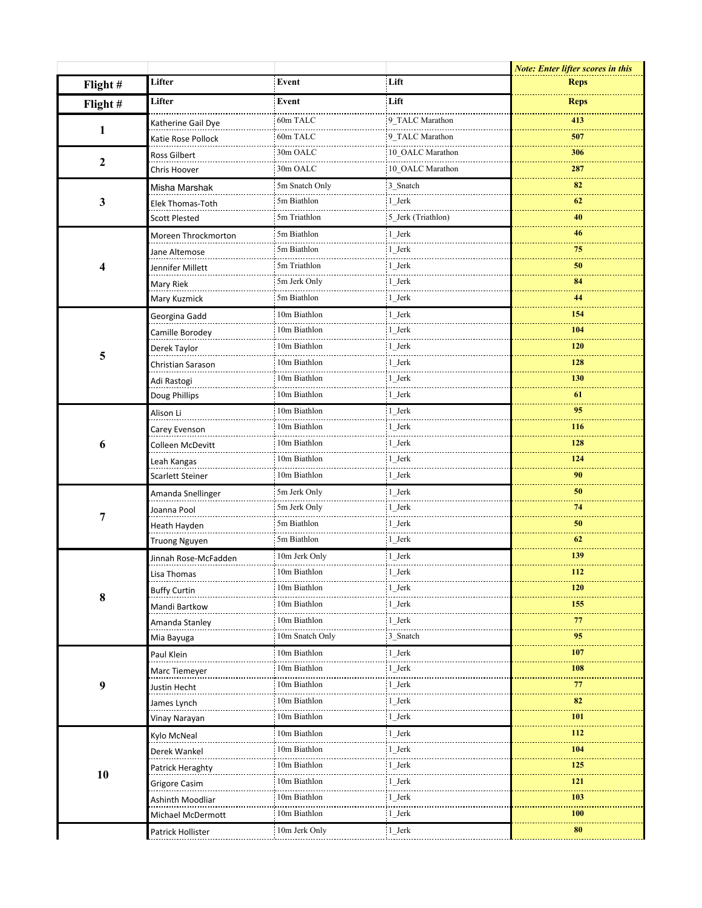|                  |                      |                   |                    | <b>Note: Enter lifter scores in this</b> |
|------------------|----------------------|-------------------|--------------------|------------------------------------------|
| Flight#          | Lifter               | Event             | Lift               | <b>Reps</b>                              |
| Flight#          | Lifter               | Event             | Lift               | <b>Reps</b>                              |
|                  | Katherine Gail Dye   | 60m TALC          | 9 TALC Marathon    | 413                                      |
| 1                | Katie Rose Pollock   | 60m TALC          | 9 TALC Marathon    | 507                                      |
|                  | Ross Gilbert         | 30m OALC          | 10 OALC Marathon   | 306                                      |
| $\boldsymbol{2}$ | Chris Hoover         | 30m OALC          | 10_OALC Marathon   | 287                                      |
|                  | Misha Marshak        | 5m Snatch Only    | 3 Snatch           | 82                                       |
| 3                | Elek Thomas-Toth     | 5m Biathlon       | $1$ _Jerk          | 62                                       |
|                  | <b>Scott Plested</b> | 5m Triathlon      | 5 Jerk (Triathlon) | 40                                       |
|                  | Moreen Throckmorton  | 5m Biathlon       | $1$ _Jerk          | 46                                       |
|                  | Jane Altemose        | 5m Biathlon       | 1 Jerk             | 75                                       |
| 4                | Jennifer Millett     | 5m Triathlon      | 1 Jerk             | 50                                       |
|                  | Mary Riek            | 5m Jerk Only      | 1_Jerk             | 84                                       |
|                  | Mary Kuzmick         | 5m Biathlon       | 1 Jerk             | 44                                       |
|                  | Georgina Gadd        | 10m Biathlon      | 1 Jerk             | 154                                      |
|                  | Camille Borodey      | 10m Biathlon      | 1_Jerk             | <b>104</b>                               |
|                  | Derek Taylor         | 10m Biathlon<br>. | 1 Jerk             | 120                                      |
| 5                | Christian Sarason    | 10m Biathlon      | 1 Jerk             | 128                                      |
|                  | Adi Rastogi          | 10m Biathlon      | 1 Jerk             | <b>130</b>                               |
|                  | Doug Phillips        | 10m Biathlon      | 1 Jerk             | 61                                       |
|                  | Alison Li            | 10m Biathlon      | 1 Jerk             | 95                                       |
|                  | Carey Evenson        | 10m Biathlon      | 1_Jerk             | <b>116</b>                               |
| 6                | Colleen McDevitt     | 10m Biathlon      | 1_Jerk             | 128                                      |
|                  | Leah Kangas          | 10m Biathlon      | $1$ _Jerk          | 124                                      |
|                  | Scarlett Steiner     | 10m Biathlon      | 1 Jerk             | 90                                       |
|                  | Amanda Snellinger    | 5m Jerk Only      | 1 Jerk             | 50                                       |
|                  | Joanna Pool          | 5m Jerk Only      | 1 Jerk             | 74                                       |
| 7                | Heath Hayden         | 5m Biathlon       | 1 Jerk             | 50                                       |
|                  | Truong Nguyen        | 5m Biathlon       | 1 Jerk             | 62                                       |
|                  | Jinnah Rose-McFadden | 10m Jerk Only     | 1 Jerk             | 139                                      |
|                  | Lisa Thomas          | :10m Biathlon     | :1 Jerk            | 112                                      |
|                  | <b>Buffy Curtin</b>  | 10m Biathlon<br>. | 1 Jerk             | <b>120</b>                               |
| 8                | Mandi Bartkow        | 10m Biathlon      | 1 Jerk             | 155                                      |
|                  | Amanda Stanley       | 10m Biathlon      | 1_Jerk             | 77                                       |
|                  | Mia Bayuga           | 10m Snatch Only   | 3 Snatch           | 95                                       |
|                  | Paul Klein           | 10m Biathlon      | 1 Jerk             | 107                                      |
|                  | Marc Tiemeyer        | 10m Biathlon      | 1_Jerk             | <b>108</b>                               |
| $\boldsymbol{9}$ | Justin Hecht         | 10m Biathlon      | 1 Jerk             | 77                                       |
|                  | James Lynch          | 10m Biathlon      | 1 Jerk             | 82                                       |
|                  | Vinay Narayan        | 10m Biathlon      | 1_Jerk             | <b>101</b>                               |
|                  | Kylo McNeal          | 10m Biathlon      | 1 Jerk             | 112                                      |
|                  | Derek Wankel         | 10m Biathlon      | 1 Jerk             | <b>104</b>                               |
|                  | Patrick Heraghty     | 10m Biathlon      | 1_Jerk             | 125                                      |
| 10               | Grigore Casim        | 10m Biathlon      | 1 Jerk             | 121                                      |
|                  | Ashinth Moodliar     | 10m Biathlon      | 1 Jerk             | <b>103</b>                               |
|                  | Michael McDermott    | 10m Biathlon      | 1_Jerk             | 100                                      |
|                  | Patrick Hollister    | 10m Jerk Only     | $1$ Jerk           | 80                                       |
|                  |                      |                   |                    |                                          |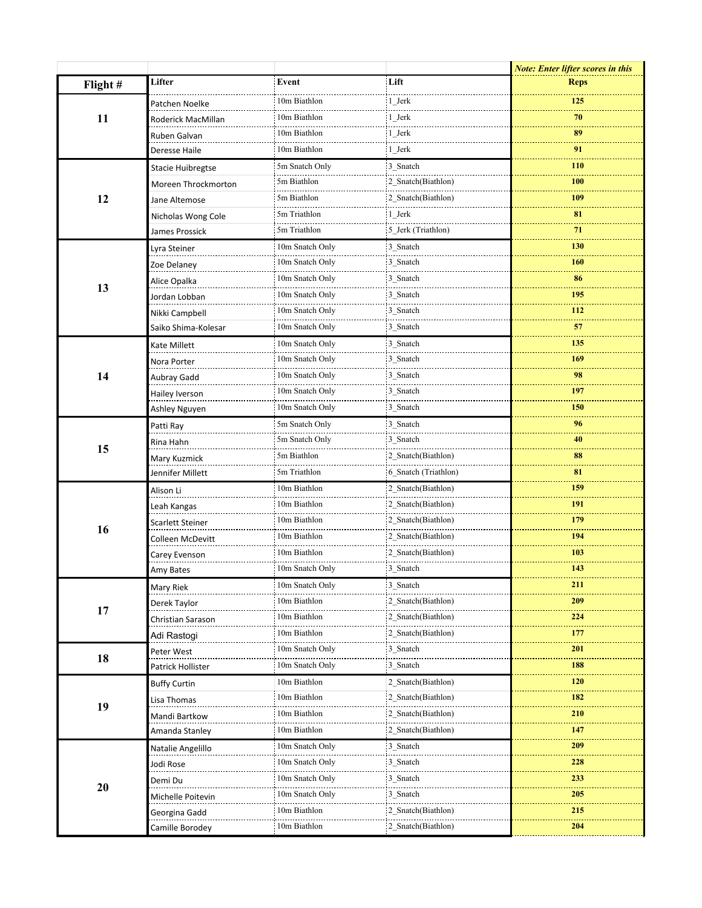|         |                          |                 |                      | <b>Note: Enter lifter scores in this</b> |
|---------|--------------------------|-----------------|----------------------|------------------------------------------|
| Flight# | Lifter                   | Event           | Lift                 | <b>Reps</b>                              |
|         | Patchen Noelke           | 10m Biathlon    | 1 Jerk               | 125                                      |
| 11      | Roderick MacMillan       | 10m Biathlon    | 1 Jerk               | 70                                       |
|         | Ruben Galvan             | 10m Biathlon    | 1_Jerk               | 89                                       |
|         | Deresse Haile            | 10m Biathlon    | 1 Jerk               | 91                                       |
|         | <b>Stacie Huibregtse</b> | 5m Snatch Only  | 3 Snatch             | <b>110</b>                               |
| 12      | Moreen Throckmorton      | 5m Biathlon     | 2 Snatch(Biathlon)   | 100                                      |
|         | Jane Altemose            | 5m Biathlon     | 2 Snatch(Biathlon)   | 109                                      |
|         | Nicholas Wong Cole       | 5m Triathlon    | 1 Jerk               | 81                                       |
|         | James Prossick           | 5m Triathlon    | 5 Jerk (Triathlon)   | 71                                       |
|         | Lyra Steiner             | 10m Snatch Only | 3 Snatch             | 130                                      |
| 13      | Zoe Delaney              | 10m Snatch Only | 3 Snatch             | <b>160</b>                               |
|         | Alice Opalka             | 10m Snatch Only | 3 Snatch             | 86                                       |
|         | Jordan Lobban            | 10m Snatch Only | 3 Snatch             | 195                                      |
|         | Nikki Campbell           | 10m Snatch Only | 3_Snatch             | 112                                      |
|         | Saiko Shima-Kolesar      | 10m Snatch Only | 3 Snatch             | 57                                       |
|         | Kate Millett             | 10m Snatch Only | 3 Snatch             | 135                                      |
| 14      | Nora Porter              | 10m Snatch Only | 3 Snatch             | 169                                      |
|         | Aubray Gadd              | 10m Snatch Only | 3 Snatch             | 98                                       |
|         | Hailey Iverson           | 10m Snatch Only | 3 Snatch             | 197                                      |
|         | Ashley Nguyen            | 10m Snatch Only | 3 Snatch             | 150                                      |
|         | Patti Ray                | 5m Snatch Only  | 3 Snatch             | 96                                       |
| 15      | Rina Hahn                | 5m Snatch Only  | 3 Snatch             | 40                                       |
|         | Mary Kuzmick             | 5m Biathlon     | 2_Snatch(Biathlon)   | 88                                       |
|         | Jennifer Millett         | 5m Triathlon    | 6 Snatch (Triathlon) | 81                                       |
| 16      | Alison Li                | 10m Biathlon    | 2 Snatch(Biathlon)   | 159                                      |
|         | Leah Kangas              | 10m Biathlon    | 2 Snatch(Biathlon)   | 191                                      |
|         | Scarlett Steiner         | 10m Biathlon    | 2 Snatch(Biathlon)   | 179                                      |
|         | Colleen McDevitt         | 10m Biathlon    | 2_Snatch(Biathlon)   | 194                                      |
|         | Carey Evenson            | 10m Biathlon    | 2 Snatch(Biathlon)   | 103                                      |
|         | Amy Bates                | 10m Snatch Only | 3 Snatch             | 143                                      |
|         | Mary Riek                | 10m Snatch Only | 3 Snatch             | 211                                      |
|         | Derek Taylor             | 10m Biathlon    | 2 Snatch(Biathlon)   | 209                                      |
| 17      | Christian Sarason        | 10m Biathlon    | 2_Snatch(Biathlon)   | 224                                      |
|         | Adi Rastogi              | 10m Biathlon    | 2 Snatch(Biathlon)   | 177                                      |
|         | Peter West               | 10m Snatch Only | 3 Snatch             | 201                                      |
| 18      | Patrick Hollister        | 10m Snatch Only | 3 Snatch             | 188                                      |
|         | <b>Buffy Curtin</b>      | 10m Biathlon    | 2 Snatch(Biathlon)   | <b>120</b>                               |
|         | Lisa Thomas              | 10m Biathlon    | 2 Snatch(Biathlon)   | 182                                      |
| 19      | Mandi Bartkow            | 10m Biathlon    | 2 Snatch(Biathlon)   | 210                                      |
|         | Amanda Stanley           | 10m Biathlon    | 2 Snatch(Biathlon)   | 147                                      |
|         | Natalie Angelillo        | 10m Snatch Only | 3 Snatch             | 209                                      |
|         | Jodi Rose                | 10m Snatch Only | 3 Snatch             | 228                                      |
|         | Demi Du                  | 10m Snatch Only | 3 Snatch             | 233                                      |
| 20      | Michelle Poitevin        | 10m Snatch Only | 3 Snatch             | 205                                      |
|         | Georgina Gadd            | 10m Biathlon    | 2 Snatch(Biathlon)   | 215                                      |
|         | Camille Borodey          | 10m Biathlon    | 2 Snatch(Biathlon)   | 204                                      |
|         |                          |                 |                      |                                          |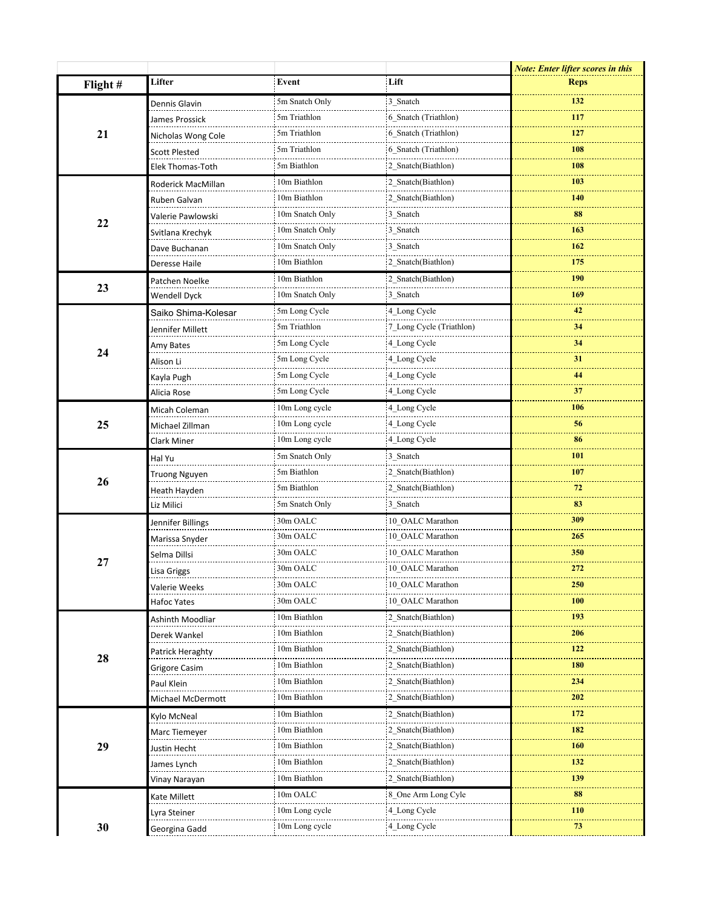|         |                      |                 |                          | <b>Note: Enter lifter scores in this</b> |
|---------|----------------------|-----------------|--------------------------|------------------------------------------|
| Flight# | Lifter               | Event           | Lift                     | <b>Reps</b>                              |
|         | Dennis Glavin        | 5m Snatch Only  | 3 Snatch                 | 132                                      |
|         | James Prossick       | 5m Triathlon    | 6 Snatch (Triathlon)     | 117                                      |
| 21      | Nicholas Wong Cole   | 5m Triathlon    | 6 Snatch (Triathlon)     | 127                                      |
|         | <b>Scott Plested</b> | 5m Triathlon    | 6 Snatch (Triathlon)     | 108                                      |
|         | Elek Thomas-Toth     | 5m Biathlon     | 2 Snatch(Biathlon)       | 108                                      |
|         | Roderick MacMillan   | 10m Biathlon    | 2 Snatch(Biathlon)       | 103                                      |
|         | Ruben Galvan         | 10m Biathlon    | 2 Snatch(Biathlon)       | <b>140</b>                               |
| 22      | Valerie Pawlowski    | 10m Snatch Only | 3 Snatch                 | 88                                       |
|         | Svitlana Krechyk     | 10m Snatch Only | 3 Snatch                 | 163                                      |
|         | Dave Buchanan        | 10m Snatch Only | 3_Snatch                 | 162                                      |
|         | Deresse Haile        | 10m Biathlon    | 2 Snatch(Biathlon)       | 175                                      |
|         | Patchen Noelke       | 10m Biathlon    | 2 Snatch(Biathlon)       | 190                                      |
| 23      | Wendell Dyck         | 10m Snatch Only | 3 Snatch                 | 169                                      |
|         | Saiko Shima-Kolesar  | 5m Long Cycle   | 4 Long Cycle             | 42                                       |
|         | Jennifer Millett     | 5m Triathlon    | 7 Long Cycle (Triathlon) | 34                                       |
|         | Amy Bates            | 5m Long Cycle   | 4_Long Cycle             | 34                                       |
| 24      | Alison Li            | 5m Long Cycle   | 4 Long Cycle             | 31                                       |
|         | Kayla Pugh           | 5m Long Cycle   | 4 Long Cycle             | 44                                       |
|         | Alicia Rose          | 5m Long Cycle   | 4_Long Cycle             | 37                                       |
|         | Micah Coleman        | 10m Long cycle  | 4 Long Cycle             | 106                                      |
| 25      | Michael Zillman      | 10m Long cycle  | 4 Long Cycle             | 56                                       |
|         | Clark Miner          | 10m Long cycle  | 4_Long Cycle             | 86                                       |
|         | Hal Yu               | 5m Snatch Only  | 3 Snatch                 | 101                                      |
| 26      | Truong Nguyen        | 5m Biathlon     | 2 Snatch(Biathlon)       | 107                                      |
|         | Heath Hayden         | 5m Biathlon     | 2_Snatch(Biathlon)       | 72                                       |
|         | Liz Milici           | 5m Snatch Only  | 3 Snatch                 | 83                                       |
|         | Jennifer Billings    | 30m OALC        | 10 OALC Marathon         | 309                                      |
|         | Marissa Snyder       | 30m OALC        | 10_OALC Marathon         | 265                                      |
|         | Selma Dillsi         | 30m OALC        | 10 OALC Marathon         | 350                                      |
| 27      | Lisa Griggs          | 30m OALC        | 10_OALC Marathon         | 272                                      |
|         | Valerie Weeks        | 30m OALC        | 10_OALC Marathon         | <b>250</b>                               |
|         | Hafoc Yates          | 30m OALC        | 10 OALC Marathon         | 100                                      |
|         | Ashinth Moodliar     | 10m Biathlon    | 2 Snatch(Biathlon)       | 193                                      |
|         | Derek Wankel         | 10m Biathlon    | 2 Snatch(Biathlon)       | 206                                      |
|         | Patrick Heraghty     | 10m Biathlon    | 2 Snatch(Biathlon)       | 122                                      |
| 28      | Grigore Casim        | 10m Biathlon    | 2 Snatch(Biathlon)       | 180                                      |
|         | Paul Klein           | 10m Biathlon    | 2_Snatch(Biathlon)       | 234                                      |
|         | Michael McDermott    | 10m Biathlon    | 2 Snatch(Biathlon)       | 202                                      |
|         | Kylo McNeal          | 10m Biathlon    | 2 Snatch(Biathlon)       | 172                                      |
|         | Marc Tiemeyer        | 10m Biathlon    | 2 Snatch(Biathlon)       | 182                                      |
| 29      | Justin Hecht         | 10m Biathlon    | 2 Snatch(Biathlon)       | 160                                      |
|         | James Lynch          | 10m Biathlon    | 2_Snatch(Biathlon)       | 132                                      |
|         | Vinay Narayan        | 10m Biathlon    | 2 Snatch(Biathlon)       | 139                                      |
|         | Kate Millett         | 10m OALC        | 8 One Arm Long Cyle      | 88                                       |
|         | Lyra Steiner         | 10m Long cycle  | 4 Long Cycle             | 110                                      |
| 30      | Georgina Gadd        | 10m Long cycle  | 4 Long Cycle             | 73                                       |
|         |                      |                 |                          |                                          |